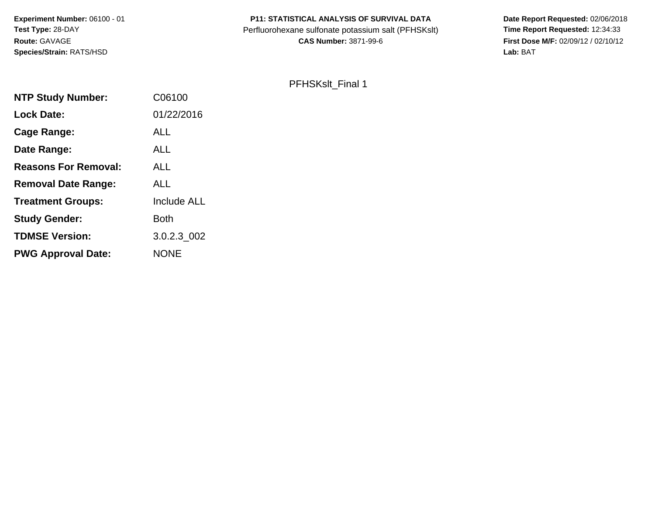**Experiment Number:** 06100 - 01**Test Type:** 28-DAY**Route:** GAVAGE**Species/Strain:** RATS/HSD

# **P11: STATISTICAL ANALYSIS OF SURVIVAL DATA**

Perfluorohexane sulfonate potassium salt (PFHSKslt)<br>**CAS Number:** 3871-99-6

 **Date Report Requested:** 02/06/2018 **First Dose M/F:** 02/09/12 / 02/10/12<br>Lab: BAT **Lab:** BAT

# PFHSKslt\_Final 1

| C06100             |
|--------------------|
| 01/22/2016         |
| <b>ALL</b>         |
| <b>ALL</b>         |
| ALL                |
| <b>ALL</b>         |
| <b>Include ALL</b> |
| <b>Both</b>        |
| 3.0.2.3 002        |
| <b>NONE</b>        |
|                    |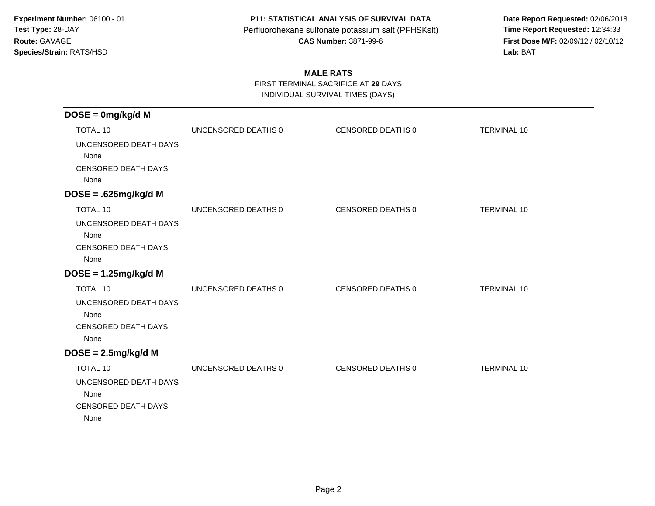**Date Report Requested:** 02/06/2018 **First Dose M/F:** 02/09/12 / 02/10/12<br>Lab: BAT **Lab:** BAT

## **MALE RATS**

FIRST TERMINAL SACRIFICE AT **29** DAYS

INDIVIDUAL SURVIVAL TIMES (DAYS)

| $DOSE = 0mg/kg/d$ M                                                                    |                     |                   |                    |
|----------------------------------------------------------------------------------------|---------------------|-------------------|--------------------|
| <b>TOTAL 10</b>                                                                        | UNCENSORED DEATHS 0 | CENSORED DEATHS 0 | <b>TERMINAL 10</b> |
| UNCENSORED DEATH DAYS<br>None<br><b>CENSORED DEATH DAYS</b><br>None                    |                     |                   |                    |
| $DOSE = .625mg/kg/d M$                                                                 |                     |                   |                    |
| <b>TOTAL 10</b>                                                                        | UNCENSORED DEATHS 0 | CENSORED DEATHS 0 | <b>TERMINAL 10</b> |
| UNCENSORED DEATH DAYS<br>None<br><b>CENSORED DEATH DAYS</b><br>None                    |                     |                   |                    |
| $DOSE = 1.25mg/kg/d M$                                                                 |                     |                   |                    |
| <b>TOTAL 10</b>                                                                        | UNCENSORED DEATHS 0 | CENSORED DEATHS 0 | <b>TERMINAL 10</b> |
| UNCENSORED DEATH DAYS<br>None<br><b>CENSORED DEATH DAYS</b><br>None                    |                     |                   |                    |
| $DOSE = 2.5mg/kg/d M$                                                                  |                     |                   |                    |
| <b>TOTAL 10</b><br>UNCENSORED DEATH DAYS<br>None<br><b>CENSORED DEATH DAYS</b><br>None | UNCENSORED DEATHS 0 | CENSORED DEATHS 0 | <b>TERMINAL 10</b> |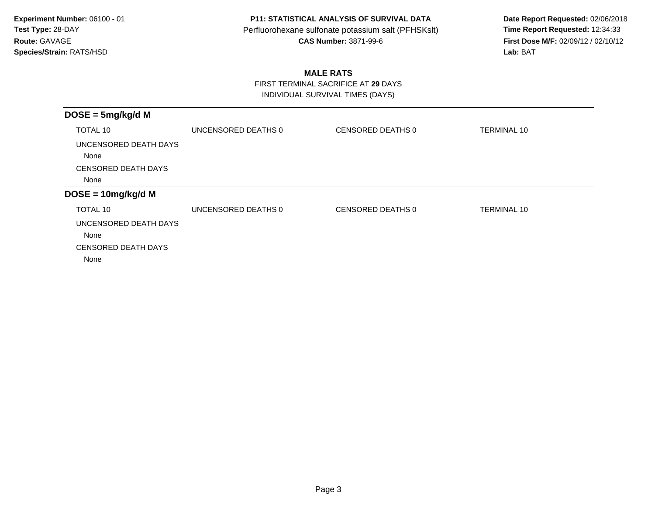**Date Report Requested:** 02/06/2018 **First Dose M/F:** 02/09/12 / 02/10/12<br>Lab: BAT **Lab:** BAT

## **MALE RATS**

 FIRST TERMINAL SACRIFICE AT **29** DAYSINDIVIDUAL SURVIVAL TIMES (DAYS)

| $DOSE = 5mg/kg/d M$                                         |                     |                   |                    |
|-------------------------------------------------------------|---------------------|-------------------|--------------------|
| TOTAL 10                                                    | UNCENSORED DEATHS 0 | CENSORED DEATHS 0 | <b>TERMINAL 10</b> |
| UNCENSORED DEATH DAYS<br>None                               |                     |                   |                    |
| <b>CENSORED DEATH DAYS</b>                                  |                     |                   |                    |
| None                                                        |                     |                   |                    |
| $DOSE = 10mg/kg/d M$                                        |                     |                   |                    |
| TOTAL 10                                                    | UNCENSORED DEATHS 0 | CENSORED DEATHS 0 | <b>TERMINAL 10</b> |
| UNCENSORED DEATH DAYS<br>None<br><b>CENSORED DEATH DAYS</b> |                     |                   |                    |
| None                                                        |                     |                   |                    |
|                                                             |                     |                   |                    |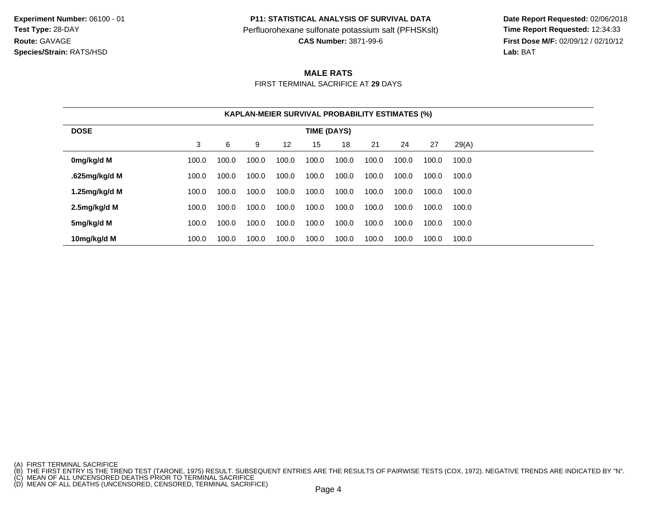**P11: STATISTICAL ANALYSIS OF SURVIVAL DATA**

Perfluorohexane sulfonate potassium salt (PFHSKslt)<br>**CAS Number:** 3871-99-6

 **Date Report Requested:** 02/06/2018 **First Dose M/F:** 02/09/12 / 02/10/12<br>**Lab:** BAT **Lab:** BAT

#### **MALE RATS**

FIRST TERMINAL SACRIFICE AT **29** DAYS

|                  | <b>KAPLAN-MEIER SURVIVAL PROBABILITY ESTIMATES (%)</b> |       |       |       |       |       |       |       |       |       |
|------------------|--------------------------------------------------------|-------|-------|-------|-------|-------|-------|-------|-------|-------|
| <b>DOSE</b>      | TIME (DAYS)                                            |       |       |       |       |       |       |       |       |       |
|                  | 3                                                      | 6     | 9     | 12    | 15    | 18    | 21    | 24    | 27    | 29(A) |
| 0mg/kg/d M       | 100.0                                                  | 100.0 | 100.0 | 100.0 | 100.0 | 100.0 | 100.0 | 100.0 | 100.0 | 100.0 |
| .625mg/kg/d M    | 100.0                                                  | 100.0 | 100.0 | 100.0 | 100.0 | 100.0 | 100.0 | 100.0 | 100.0 | 100.0 |
| 1.25 $mg/kg/d$ M | 100.0                                                  | 100.0 | 100.0 | 100.0 | 100.0 | 100.0 | 100.0 | 100.0 | 100.0 | 100.0 |
| 2.5mg/kg/d M     | 100.0                                                  | 100.0 | 100.0 | 100.0 | 100.0 | 100.0 | 100.0 | 100.0 | 100.0 | 100.0 |
| 5mg/kg/d M       | 100.0                                                  | 100.0 | 100.0 | 100.0 | 100.0 | 100.0 | 100.0 | 100.0 | 100.0 | 100.0 |
| 10mg/kg/d M      | 100.0                                                  | 100.0 | 100.0 | 100.0 | 100.0 | 100.0 | 100.0 | 100.0 | 100.0 | 100.0 |

<sup>(</sup>A) FIRST TERMINAL SACRIFICE<br>(B) THE FIRST ENTRY IS THE TREND TEST (TARONE, 1975) RESULT. SUBSEQUENT ENTRIES ARE THE RESULTS OF PAIRWISE TESTS (COX, 1972). NEGATIVE TRENDS ARE INDICATED BY "N".<br>(C) MEAN OF ALL UNCENSORED D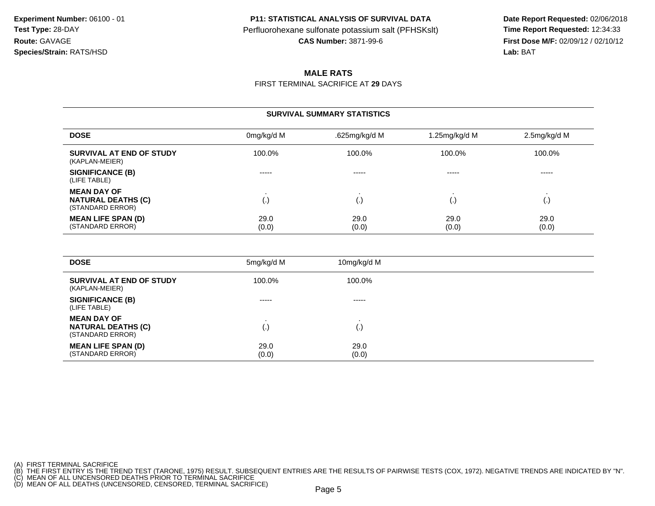**Date Report Requested:** 02/06/2018 **First Dose M/F:** 02/09/12 / 02/10/12 Lab: BAT **Lab:** BAT

#### **MALE RATS**

FIRST TERMINAL SACRIFICE AT **29** DAYS

#### **SURVIVAL SUMMARY STATISTICS**

| <b>DOSE</b>                                                         | 0mg/kg/d M    | .625mg/kg/d M | 1.25mg/kg/d M | 2.5mg/kg/d M  |
|---------------------------------------------------------------------|---------------|---------------|---------------|---------------|
| SURVIVAL AT END OF STUDY<br>(KAPLAN-MEIER)                          | 100.0%        | 100.0%        | 100.0%        | 100.0%        |
| <b>SIGNIFICANCE (B)</b><br>(LIFE TABLE)                             | -----         | -----         | -----         | -----         |
| <b>MEAN DAY OF</b><br><b>NATURAL DEATHS (C)</b><br>(STANDARD ERROR) | (.)           | ١.            |               | ι٠,           |
| <b>MEAN LIFE SPAN (D)</b><br>(STANDARD ERROR)                       | 29.0<br>(0.0) | 29.0<br>(0.0) | 29.0<br>(0.0) | 29.0<br>(0.0) |

| <b>DOSE</b>                                                         | 5mg/kg/d M    | 10mg/kg/d M        |
|---------------------------------------------------------------------|---------------|--------------------|
| SURVIVAL AT END OF STUDY<br>(KAPLAN-MEIER)                          | 100.0%        | 100.0%             |
| <b>SIGNIFICANCE (B)</b><br>(LIFE TABLE)                             | $- - - - -$   | $- - - - -$        |
| <b>MEAN DAY OF</b><br><b>NATURAL DEATHS (C)</b><br>(STANDARD ERROR) | (.)           | $\left( . \right)$ |
| <b>MEAN LIFE SPAN (D)</b><br>(STANDARD ERROR)                       | 29.0<br>(0.0) | 29.0<br>(0.0)      |

(A) FIRST TERMINAL SACRIFICE<br>(B) THE FIRST ENTRY IS THE TREND TEST (TARONE, 1975) RESULT. SUBSEQUENT ENTRIES ARE THE RESULTS OF PAIRWISE TESTS (COX, 1972). NEGATIVE TRENDS ARE INDICATED BY "N".<br>(C) MEAN OF ALL UNCENSORED D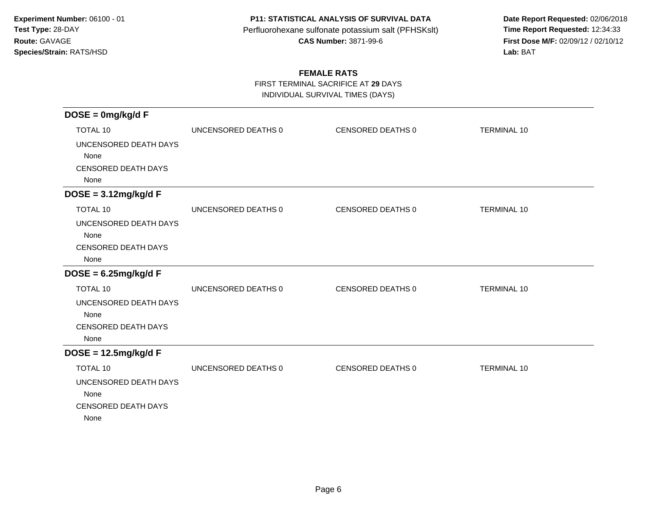**Date Report Requested:** 02/06/2018 **First Dose M/F:** 02/09/12 / 02/10/12<br>Lab: BAT **Lab:** BAT

### **FEMALE RATS**

FIRST TERMINAL SACRIFICE AT **29** DAYS

INDIVIDUAL SURVIVAL TIMES (DAYS)

| $DOSE = 0mg/kg/dF$                 |                     |                   |                    |
|------------------------------------|---------------------|-------------------|--------------------|
| <b>TOTAL 10</b>                    | UNCENSORED DEATHS 0 | CENSORED DEATHS 0 | <b>TERMINAL 10</b> |
| UNCENSORED DEATH DAYS              |                     |                   |                    |
| None                               |                     |                   |                    |
| <b>CENSORED DEATH DAYS</b>         |                     |                   |                    |
| None                               |                     |                   |                    |
| $DOSE = 3.12mg/kg/dF$              |                     |                   |                    |
| <b>TOTAL 10</b>                    | UNCENSORED DEATHS 0 | CENSORED DEATHS 0 | <b>TERMINAL 10</b> |
| UNCENSORED DEATH DAYS              |                     |                   |                    |
| None                               |                     |                   |                    |
| <b>CENSORED DEATH DAYS</b><br>None |                     |                   |                    |
| $DOSE = 6.25mg/kg/dF$              |                     |                   |                    |
| <b>TOTAL 10</b>                    | UNCENSORED DEATHS 0 | CENSORED DEATHS 0 | <b>TERMINAL 10</b> |
| UNCENSORED DEATH DAYS              |                     |                   |                    |
| None                               |                     |                   |                    |
| <b>CENSORED DEATH DAYS</b>         |                     |                   |                    |
| None                               |                     |                   |                    |
| $DOSE = 12.5mg/kg/dF$              |                     |                   |                    |
| <b>TOTAL 10</b>                    | UNCENSORED DEATHS 0 | CENSORED DEATHS 0 | <b>TERMINAL 10</b> |
| UNCENSORED DEATH DAYS              |                     |                   |                    |
| None                               |                     |                   |                    |
| <b>CENSORED DEATH DAYS</b><br>None |                     |                   |                    |
|                                    |                     |                   |                    |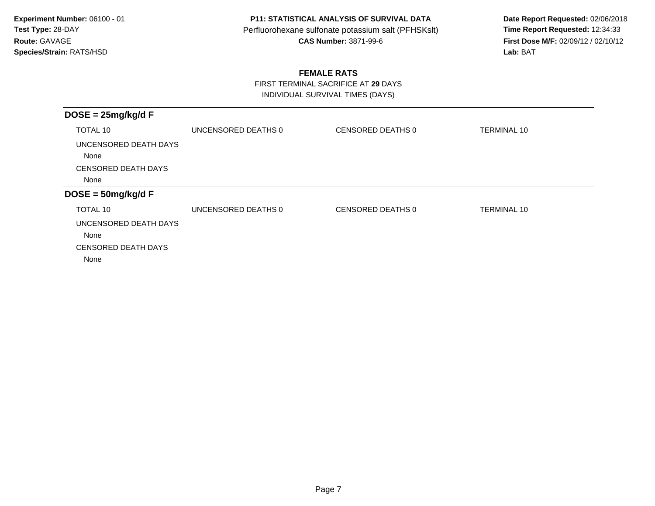**Date Report Requested:** 02/06/2018 **First Dose M/F:** 02/09/12 / 02/10/12<br>Lab: BAT **Lab:** BAT

### **FEMALE RATS**

 FIRST TERMINAL SACRIFICE AT **29** DAYSINDIVIDUAL SURVIVAL TIMES (DAYS)

| UNCENSORED DEATHS 0 | CENSORED DEATHS 0 | <b>TERMINAL 10</b> |
|---------------------|-------------------|--------------------|
|                     |                   |                    |
|                     |                   |                    |
|                     |                   |                    |
| UNCENSORED DEATHS 0 | CENSORED DEATHS 0 | TERMINAL 10        |
|                     |                   |                    |
|                     |                   |                    |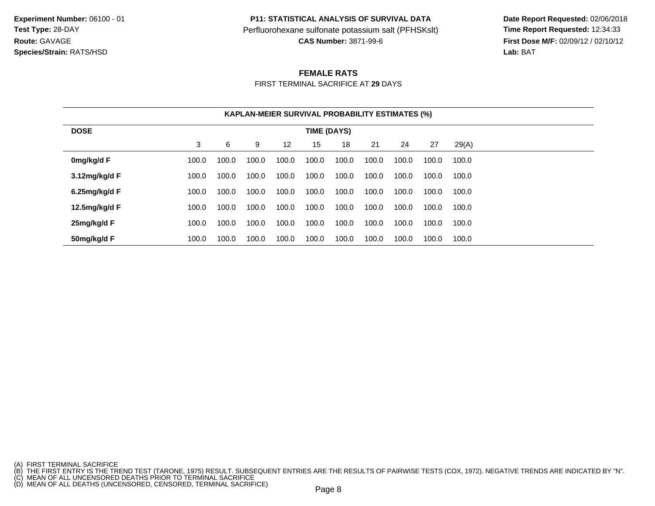**P11: STATISTICAL ANALYSIS OF SURVIVAL DATA**

Perfluorohexane sulfonate potassium salt (PFHSKslt)<br>**CAS Number:** 3871-99-6

 **Date Report Requested:** 02/06/2018 **First Dose M/F:** 02/09/12 / 02/10/12 Lab: BAT **Lab:** BAT

#### **FEMALE RATS**

FIRST TERMINAL SACRIFICE AT **29** DAYS

|                  | <b>KAPLAN-MEIER SURVIVAL PROBABILITY ESTIMATES (%)</b> |       |       |       |       |       |       |       |       |       |
|------------------|--------------------------------------------------------|-------|-------|-------|-------|-------|-------|-------|-------|-------|
| <b>DOSE</b>      | TIME (DAYS)                                            |       |       |       |       |       |       |       |       |       |
|                  | 3                                                      | 6     | 9     | 12    | 15    | 18    | 21    | 24    | 27    | 29(A) |
| 0mg/kg/d F       | 100.0                                                  | 100.0 | 100.0 | 100.0 | 100.0 | 100.0 | 100.0 | 100.0 | 100.0 | 100.0 |
| 3.12mg/kg/d F    | 100.0                                                  | 100.0 | 100.0 | 100.0 | 100.0 | 100.0 | 100.0 | 100.0 | 100.0 | 100.0 |
| $6.25$ mg/kg/d F | 100.0                                                  | 100.0 | 100.0 | 100.0 | 100.0 | 100.0 | 100.0 | 100.0 | 100.0 | 100.0 |
| 12.5mg/kg/d F    | 100.0                                                  | 100.0 | 100.0 | 100.0 | 100.0 | 100.0 | 100.0 | 100.0 | 100.0 | 100.0 |
| 25mg/kg/d F      | 100.0                                                  | 100.0 | 100.0 | 100.0 | 100.0 | 100.0 | 100.0 | 100.0 | 100.0 | 100.0 |
| 50mg/kg/d F      | 100.0                                                  | 100.0 | 100.0 | 100.0 | 100.0 | 100.0 | 100.0 | 100.0 | 100.0 | 100.0 |

<sup>(</sup>A) FIRST TERMINAL SACRIFICE<br>(B) THE FIRST ENTRY IS THE TREND TEST (TARONE, 1975) RESULT. SUBSEQUENT ENTRIES ARE THE RESULTS OF PAIRWISE TESTS (COX, 1972). NEGATIVE TRENDS ARE INDICATED BY "N".<br>(C) MEAN OF ALL UNCENSORED D